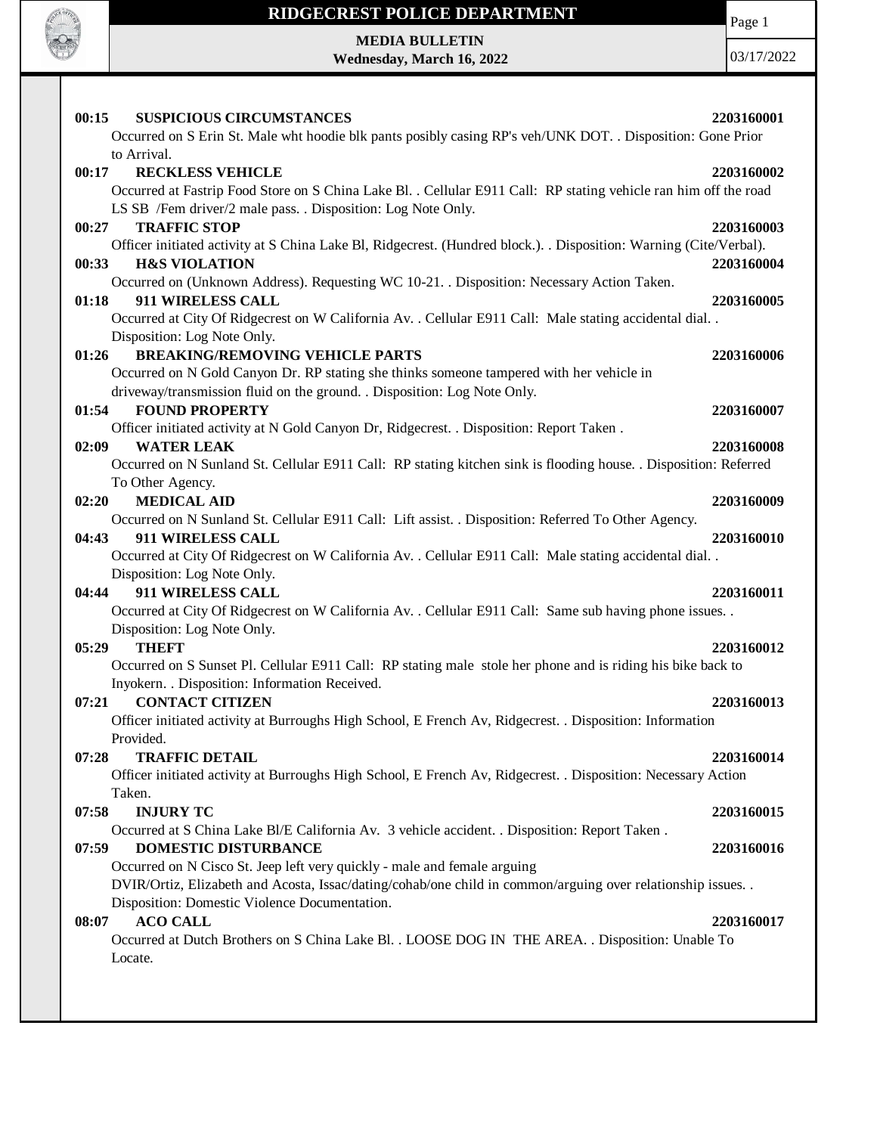

Page 1

**MEDIA BULLETIN Wednesday, March 16, 2022**

| <b>SUSPICIOUS CIRCUMSTANCES</b><br>00:15<br>Occurred on S Erin St. Male wht hoodie blk pants posibly casing RP's veh/UNK DOT. . Disposition: Gone Prior                                  | 2203160001 |
|------------------------------------------------------------------------------------------------------------------------------------------------------------------------------------------|------------|
| to Arrival.                                                                                                                                                                              |            |
| 00:17<br><b>RECKLESS VEHICLE</b>                                                                                                                                                         | 2203160002 |
| Occurred at Fastrip Food Store on S China Lake Bl. . Cellular E911 Call: RP stating vehicle ran him off the road                                                                         |            |
| LS SB /Fem driver/2 male pass. . Disposition: Log Note Only.                                                                                                                             |            |
| <b>TRAFFIC STOP</b><br>00:27                                                                                                                                                             | 2203160003 |
| Officer initiated activity at S China Lake Bl, Ridgecrest. (Hundred block.). Disposition: Warning (Cite/Verbal).                                                                         |            |
| 00:33<br><b>H&amp;S VIOLATION</b>                                                                                                                                                        | 2203160004 |
| Occurred on (Unknown Address). Requesting WC 10-21. . Disposition: Necessary Action Taken.                                                                                               |            |
| 911 WIRELESS CALL<br>01:18                                                                                                                                                               | 2203160005 |
| Occurred at City Of Ridgecrest on W California Av. . Cellular E911 Call: Male stating accidental dial. .                                                                                 |            |
| Disposition: Log Note Only.                                                                                                                                                              |            |
| <b>BREAKING/REMOVING VEHICLE PARTS</b><br>01:26                                                                                                                                          | 2203160006 |
| Occurred on N Gold Canyon Dr. RP stating she thinks someone tampered with her vehicle in                                                                                                 |            |
| driveway/transmission fluid on the ground. . Disposition: Log Note Only.                                                                                                                 |            |
| 01:54<br><b>FOUND PROPERTY</b>                                                                                                                                                           | 2203160007 |
| Officer initiated activity at N Gold Canyon Dr, Ridgecrest. . Disposition: Report Taken.                                                                                                 |            |
| <b>WATER LEAK</b><br>02:09                                                                                                                                                               | 2203160008 |
| Occurred on N Sunland St. Cellular E911 Call: RP stating kitchen sink is flooding house. Disposition: Referred                                                                           |            |
| To Other Agency.                                                                                                                                                                         |            |
| <b>MEDICAL AID</b><br>02:20                                                                                                                                                              | 2203160009 |
| Occurred on N Sunland St. Cellular E911 Call: Lift assist. . Disposition: Referred To Other Agency.                                                                                      |            |
| <b>911 WIRELESS CALL</b><br>04:43                                                                                                                                                        | 2203160010 |
| Occurred at City Of Ridgecrest on W California Av. . Cellular E911 Call: Male stating accidental dial. .                                                                                 |            |
| Disposition: Log Note Only.                                                                                                                                                              |            |
| 911 WIRELESS CALL<br>04:44                                                                                                                                                               | 2203160011 |
| Occurred at City Of Ridgecrest on W California Av. . Cellular E911 Call: Same sub having phone issues. .                                                                                 |            |
| Disposition: Log Note Only.                                                                                                                                                              |            |
| 05:29<br><b>THEFT</b>                                                                                                                                                                    | 2203160012 |
| Occurred on S Sunset Pl. Cellular E911 Call: RP stating male stole her phone and is riding his bike back to                                                                              |            |
| Inyokern. . Disposition: Information Received.                                                                                                                                           |            |
| <b>CONTACT CITIZEN</b><br>07:21                                                                                                                                                          | 2203160013 |
| Officer initiated activity at Burroughs High School, E French Av, Ridgecrest. . Disposition: Information                                                                                 |            |
| Provided.                                                                                                                                                                                |            |
| 07:28<br><b>TRAFFIC DETAIL</b>                                                                                                                                                           | 2203160014 |
| Officer initiated activity at Burroughs High School, E French Av, Ridgecrest. . Disposition: Necessary Action                                                                            |            |
| Taken.                                                                                                                                                                                   |            |
| 07:58<br><b>INJURY TC</b>                                                                                                                                                                | 2203160015 |
| Occurred at S China Lake Bl/E California Av. 3 vehicle accident. . Disposition: Report Taken.<br><b>DOMESTIC DISTURBANCE</b>                                                             |            |
| 07:59                                                                                                                                                                                    | 2203160016 |
| Occurred on N Cisco St. Jeep left very quickly - male and female arguing<br>DVIR/Ortiz, Elizabeth and Acosta, Issac/dating/cohab/one child in common/arguing over relationship issues. . |            |
| Disposition: Domestic Violence Documentation.                                                                                                                                            |            |
| <b>ACO CALL</b><br>08:07                                                                                                                                                                 | 2203160017 |
| Occurred at Dutch Brothers on S China Lake Bl. . LOOSE DOG IN THE AREA. . Disposition: Unable To                                                                                         |            |
| Locate.                                                                                                                                                                                  |            |
|                                                                                                                                                                                          |            |
|                                                                                                                                                                                          |            |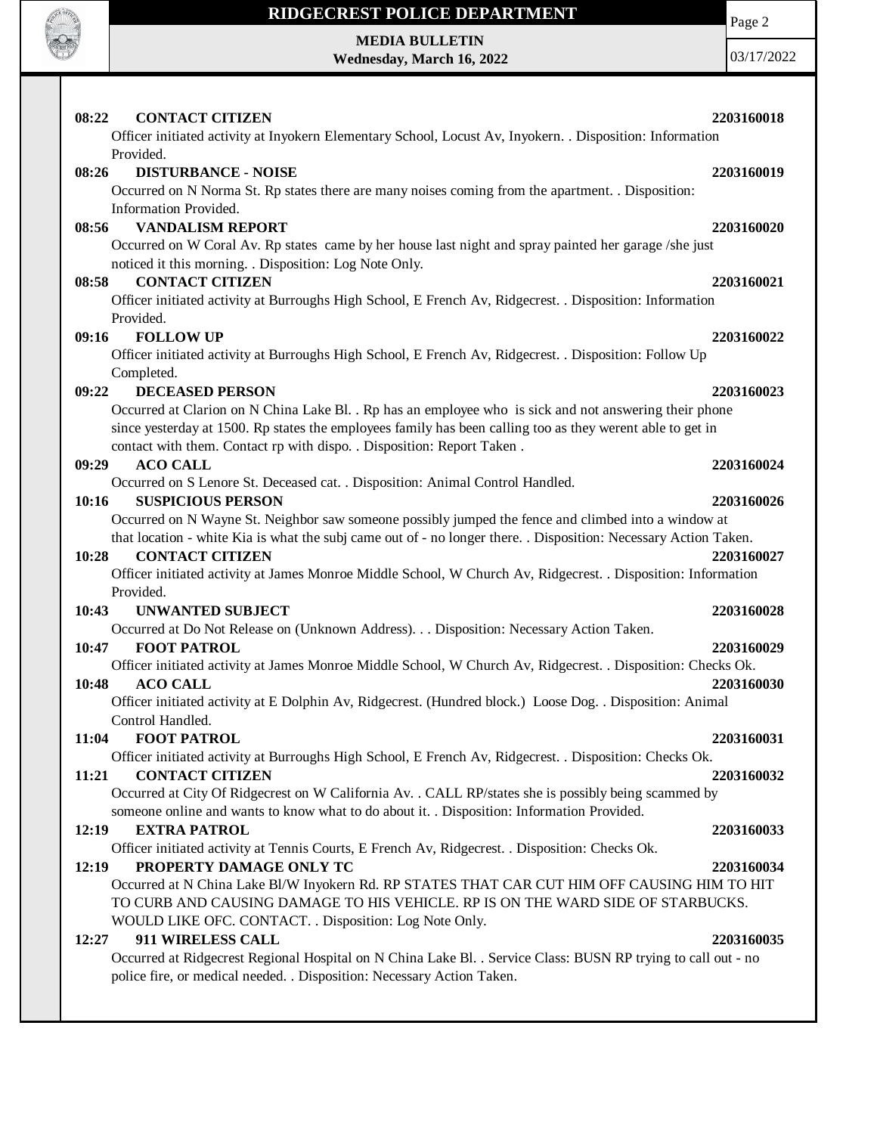

# **MEDIA BULLETIN**

**Wednesday, March 16, 2022**

| 08:22<br><b>CONTACT CITIZEN</b>                                                                                                                     | 2203160018 |
|-----------------------------------------------------------------------------------------------------------------------------------------------------|------------|
| Officer initiated activity at Inyokern Elementary School, Locust Av, Inyokern. . Disposition: Information                                           |            |
| Provided.                                                                                                                                           |            |
| 08:26<br><b>DISTURBANCE - NOISE</b>                                                                                                                 | 2203160019 |
| Occurred on N Norma St. Rp states there are many noises coming from the apartment. . Disposition:                                                   |            |
| Information Provided.                                                                                                                               |            |
| <b>VANDALISM REPORT</b><br>08:56                                                                                                                    | 2203160020 |
| Occurred on W Coral Av. Rp states came by her house last night and spray painted her garage /she just                                               |            |
| noticed it this morning. . Disposition: Log Note Only.                                                                                              |            |
| <b>CONTACT CITIZEN</b><br>08:58                                                                                                                     | 2203160021 |
| Officer initiated activity at Burroughs High School, E French Av, Ridgecrest. . Disposition: Information                                            |            |
| Provided.                                                                                                                                           |            |
| <b>FOLLOW UP</b><br>09:16                                                                                                                           | 2203160022 |
| Officer initiated activity at Burroughs High School, E French Av, Ridgecrest. . Disposition: Follow Up                                              |            |
| Completed.                                                                                                                                          |            |
| 09:22<br><b>DECEASED PERSON</b>                                                                                                                     | 2203160023 |
| Occurred at Clarion on N China Lake Bl. . Rp has an employee who is sick and not answering their phone                                              |            |
| since yesterday at 1500. Rp states the employees family has been calling too as they werent able to get in                                          |            |
| contact with them. Contact rp with dispo. . Disposition: Report Taken.                                                                              |            |
| <b>ACO CALL</b><br>09:29                                                                                                                            | 2203160024 |
| Occurred on S Lenore St. Deceased cat. . Disposition: Animal Control Handled.                                                                       |            |
| <b>SUSPICIOUS PERSON</b><br>10:16                                                                                                                   | 2203160026 |
| Occurred on N Wayne St. Neighbor saw someone possibly jumped the fence and climbed into a window at                                                 |            |
| that location - white Kia is what the subj came out of - no longer there. . Disposition: Necessary Action Taken.<br>10:28<br><b>CONTACT CITIZEN</b> | 2203160027 |
| Officer initiated activity at James Monroe Middle School, W Church Av, Ridgecrest. . Disposition: Information                                       |            |
| Provided.                                                                                                                                           |            |
| 10:43<br><b>UNWANTED SUBJECT</b>                                                                                                                    | 2203160028 |
| Occurred at Do Not Release on (Unknown Address). Disposition: Necessary Action Taken.                                                               |            |
| <b>FOOT PATROL</b><br>10:47                                                                                                                         | 2203160029 |
| Officer initiated activity at James Monroe Middle School, W Church Av, Ridgecrest. . Disposition: Checks Ok.                                        |            |
| <b>ACO CALL</b><br>10:48                                                                                                                            | 2203160030 |
| Officer initiated activity at E Dolphin Av, Ridgecrest. (Hundred block.) Loose Dog. . Disposition: Animal                                           |            |
| Control Handled.                                                                                                                                    |            |
| <b>FOOT PATROL</b><br>11:04                                                                                                                         | 2203160031 |
| Officer initiated activity at Burroughs High School, E French Av, Ridgecrest. . Disposition: Checks Ok.                                             |            |
| <b>CONTACT CITIZEN</b><br>11:21                                                                                                                     | 2203160032 |
| Occurred at City Of Ridgecrest on W California Av. . CALL RP/states she is possibly being scammed by                                                |            |
| someone online and wants to know what to do about it. . Disposition: Information Provided.                                                          |            |
| 12:19<br><b>EXTRA PATROL</b>                                                                                                                        | 2203160033 |
| Officer initiated activity at Tennis Courts, E French Av, Ridgecrest. . Disposition: Checks Ok.                                                     |            |
| PROPERTY DAMAGE ONLY TC<br>12:19                                                                                                                    | 2203160034 |
| Occurred at N China Lake Bl/W Inyokern Rd. RP STATES THAT CAR CUT HIM OFF CAUSING HIM TO HIT                                                        |            |
| TO CURB AND CAUSING DAMAGE TO HIS VEHICLE. RP IS ON THE WARD SIDE OF STARBUCKS.                                                                     |            |
| WOULD LIKE OFC. CONTACT. . Disposition: Log Note Only.<br>911 WIRELESS CALL                                                                         |            |
| 12:27<br>Occurred at Ridgecrest Regional Hospital on N China Lake Bl. . Service Class: BUSN RP trying to call out - no                              | 2203160035 |
| police fire, or medical needed. . Disposition: Necessary Action Taken.                                                                              |            |
|                                                                                                                                                     |            |
|                                                                                                                                                     |            |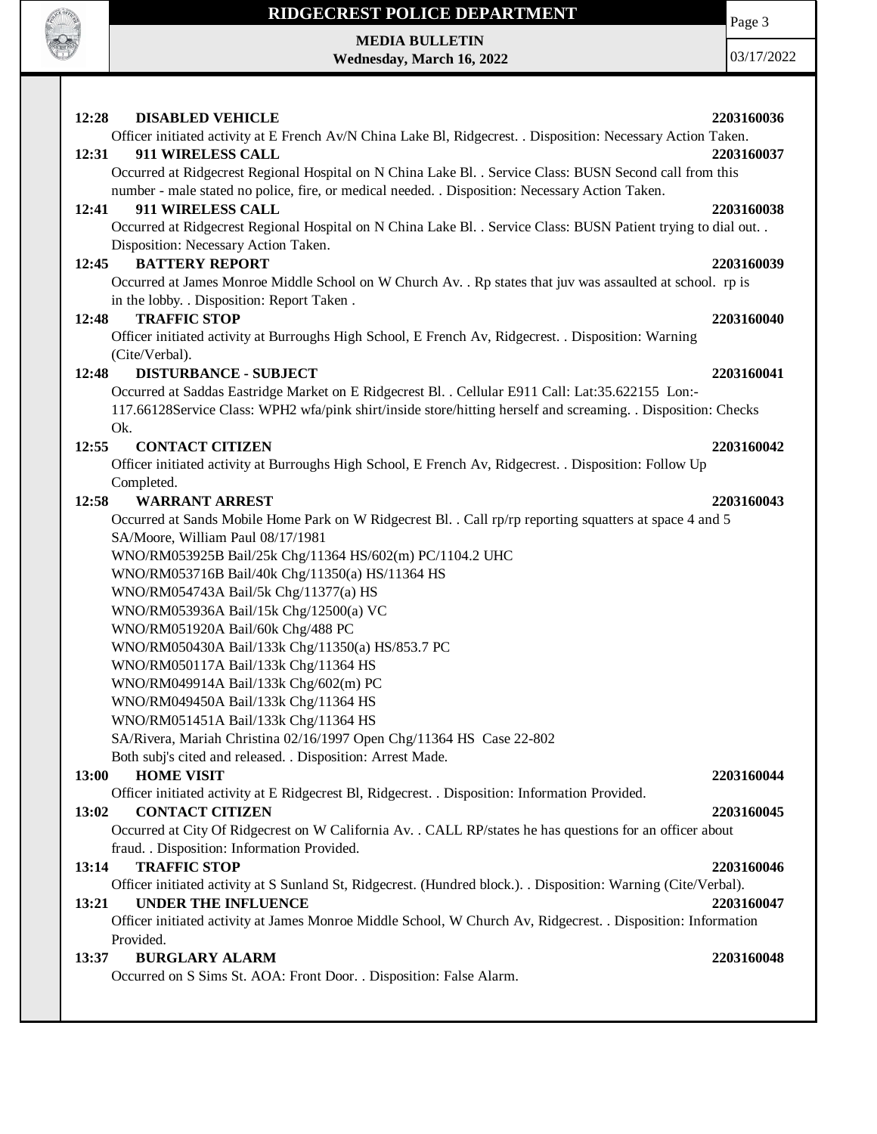

# **RIDGECREST POLICE DEPARTMENT MEDIA BULLETIN**

**Wednesday, March 16, 2022**

Page 3

| 12:28<br><b>DISABLED VEHICLE</b><br>Officer initiated activity at E French Av/N China Lake Bl, Ridgecrest. . Disposition: Necessary Action Taken.        | 2203160036 |
|----------------------------------------------------------------------------------------------------------------------------------------------------------|------------|
| 12:31<br>911 WIRELESS CALL                                                                                                                               |            |
| Occurred at Ridgecrest Regional Hospital on N China Lake Bl. . Service Class: BUSN Second call from this                                                 | 2203160037 |
| number - male stated no police, fire, or medical needed. . Disposition: Necessary Action Taken.                                                          |            |
|                                                                                                                                                          |            |
| 911 WIRELESS CALL<br>12:41                                                                                                                               | 2203160038 |
| Occurred at Ridgecrest Regional Hospital on N China Lake Bl. . Service Class: BUSN Patient trying to dial out. .<br>Disposition: Necessary Action Taken. |            |
| <b>BATTERY REPORT</b><br>12:45                                                                                                                           | 2203160039 |
| Occurred at James Monroe Middle School on W Church Av. . Rp states that juv was assaulted at school. rp is<br>in the lobby. . Disposition: Report Taken. |            |
| <b>TRAFFIC STOP</b><br>12:48                                                                                                                             | 2203160040 |
| Officer initiated activity at Burroughs High School, E French Av, Ridgecrest. . Disposition: Warning                                                     |            |
| (Cite/Verbal).                                                                                                                                           |            |
| <b>DISTURBANCE - SUBJECT</b><br>12:48                                                                                                                    | 2203160041 |
| Occurred at Saddas Eastridge Market on E Ridgecrest Bl. . Cellular E911 Call: Lat:35.622155 Lon:-                                                        |            |
| 117.66128Service Class: WPH2 wfa/pink shirt/inside store/hitting herself and screaming. . Disposition: Checks<br>Ok.                                     |            |
| <b>CONTACT CITIZEN</b><br>12:55                                                                                                                          | 2203160042 |
| Officer initiated activity at Burroughs High School, E French Av, Ridgecrest. . Disposition: Follow Up                                                   |            |
| Completed.                                                                                                                                               |            |
| 12:58<br><b>WARRANT ARREST</b>                                                                                                                           | 2203160043 |
| Occurred at Sands Mobile Home Park on W Ridgecrest Bl. . Call rp/rp reporting squatters at space 4 and 5                                                 |            |
| SA/Moore, William Paul 08/17/1981                                                                                                                        |            |
| WNO/RM053925B Bail/25k Chg/11364 HS/602(m) PC/1104.2 UHC                                                                                                 |            |
| WNO/RM053716B Bail/40k Chg/11350(a) HS/11364 HS                                                                                                          |            |
| WNO/RM054743A Bail/5k Chg/11377(a) HS                                                                                                                    |            |
| WNO/RM053936A Bail/15k Chg/12500(a) VC                                                                                                                   |            |
| WNO/RM051920A Bail/60k Chg/488 PC                                                                                                                        |            |
|                                                                                                                                                          |            |
| WNO/RM050430A Bail/133k Chg/11350(a) HS/853.7 PC                                                                                                         |            |
| WNO/RM050117A Bail/133k Chg/11364 HS                                                                                                                     |            |
| WNO/RM049914A Bail/133k Chg/602(m) PC                                                                                                                    |            |
| WNO/RM049450A Bail/133k Chg/11364 HS                                                                                                                     |            |
| WNO/RM051451A Bail/133k Chg/11364 HS                                                                                                                     |            |
| SA/Rivera, Mariah Christina 02/16/1997 Open Chg/11364 HS Case 22-802                                                                                     |            |
| Both subj's cited and released. . Disposition: Arrest Made.                                                                                              |            |
| <b>HOME VISIT</b><br>13:00                                                                                                                               | 2203160044 |
| Officer initiated activity at E Ridgecrest Bl, Ridgecrest. . Disposition: Information Provided.                                                          |            |
| 13:02<br><b>CONTACT CITIZEN</b>                                                                                                                          | 2203160045 |
| Occurred at City Of Ridgecrest on W California Av. . CALL RP/states he has questions for an officer about                                                |            |
| fraud. . Disposition: Information Provided.                                                                                                              |            |
| <b>TRAFFIC STOP</b><br>13:14                                                                                                                             | 2203160046 |
| Officer initiated activity at S Sunland St, Ridgecrest. (Hundred block.). . Disposition: Warning (Cite/Verbal).                                          |            |
| <b>UNDER THE INFLUENCE</b><br>13:21                                                                                                                      | 2203160047 |
| Officer initiated activity at James Monroe Middle School, W Church Av, Ridgecrest. . Disposition: Information                                            |            |
| Provided.                                                                                                                                                |            |
| <b>BURGLARY ALARM</b><br>13:37                                                                                                                           | 2203160048 |
|                                                                                                                                                          |            |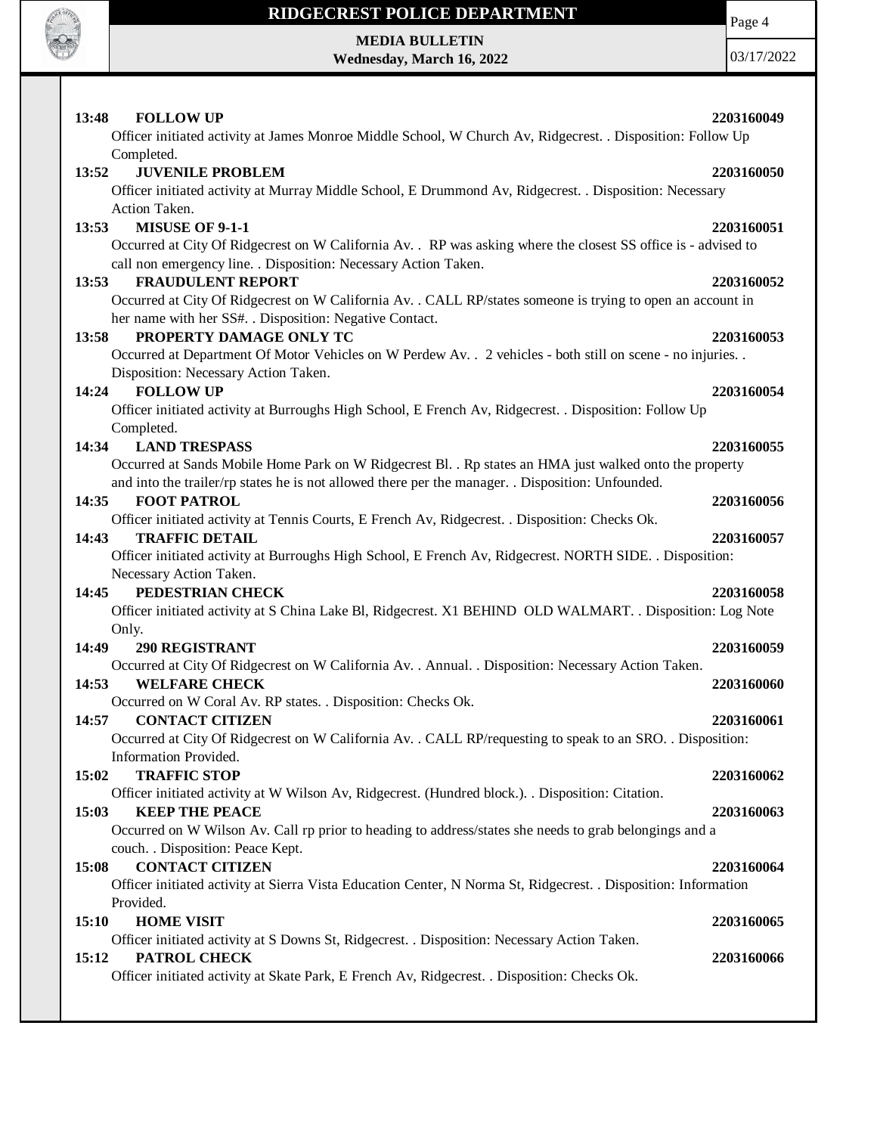

**MEDIA BULLETIN**

**Wednesday, March 16, 2022**

Page 4

| <b>FOLLOW UP</b><br>13:48                                                                                       | 2203160049 |
|-----------------------------------------------------------------------------------------------------------------|------------|
| Officer initiated activity at James Monroe Middle School, W Church Av, Ridgecrest. . Disposition: Follow Up     |            |
| Completed.                                                                                                      |            |
| 13:52<br><b>JUVENILE PROBLEM</b>                                                                                | 2203160050 |
| Officer initiated activity at Murray Middle School, E Drummond Av, Ridgecrest. . Disposition: Necessary         |            |
| Action Taken.                                                                                                   |            |
| <b>MISUSE OF 9-1-1</b><br>13:53                                                                                 | 2203160051 |
| Occurred at City Of Ridgecrest on W California Av. . RP was asking where the closest SS office is - advised to  |            |
| call non emergency line. . Disposition: Necessary Action Taken.                                                 |            |
| <b>FRAUDULENT REPORT</b><br>13:53                                                                               | 2203160052 |
| Occurred at City Of Ridgecrest on W California Av. . CALL RP/states someone is trying to open an account in     |            |
| her name with her SS#. . Disposition: Negative Contact.                                                         |            |
| PROPERTY DAMAGE ONLY TC<br>13:58                                                                                | 2203160053 |
| Occurred at Department Of Motor Vehicles on W Perdew Av. . 2 vehicles - both still on scene - no injuries. .    |            |
| Disposition: Necessary Action Taken.                                                                            |            |
| <b>FOLLOW UP</b><br>14:24                                                                                       | 2203160054 |
| Officer initiated activity at Burroughs High School, E French Av, Ridgecrest. . Disposition: Follow Up          |            |
| Completed.                                                                                                      |            |
| 14:34 LAND TRESPASS                                                                                             |            |
|                                                                                                                 | 2203160055 |
| Occurred at Sands Mobile Home Park on W Ridgecrest Bl. . Rp states an HMA just walked onto the property         |            |
| and into the trailer/rp states he is not allowed there per the manager. Disposition: Unfounded.                 |            |
| <b>FOOT PATROL</b><br>14:35                                                                                     | 2203160056 |
| Officer initiated activity at Tennis Courts, E French Av, Ridgecrest. . Disposition: Checks Ok.                 |            |
| <b>TRAFFIC DETAIL</b><br>14:43                                                                                  | 2203160057 |
| Officer initiated activity at Burroughs High School, E French Av, Ridgecrest. NORTH SIDE. . Disposition:        |            |
| Necessary Action Taken.                                                                                         |            |
| PEDESTRIAN CHECK<br>14:45                                                                                       | 2203160058 |
| Officer initiated activity at S China Lake Bl, Ridgecrest. X1 BEHIND OLD WALMART. . Disposition: Log Note       |            |
| Only.                                                                                                           |            |
| 14:49<br><b>290 REGISTRANT</b>                                                                                  | 2203160059 |
| Occurred at City Of Ridgecrest on W California Av. . Annual. . Disposition: Necessary Action Taken.             |            |
| <b>WELFARE CHECK</b><br>14:53                                                                                   | 2203160060 |
| Occurred on W Coral Av. RP states. . Disposition: Checks Ok.                                                    |            |
| 14:57<br><b>CONTACT CITIZEN</b>                                                                                 | 2203160061 |
| Occurred at City Of Ridgecrest on W California Av. . CALL RP/requesting to speak to an SRO. . Disposition:      |            |
| Information Provided.                                                                                           |            |
| <b>TRAFFIC STOP</b><br>15:02                                                                                    | 2203160062 |
| Officer initiated activity at W Wilson Av, Ridgecrest. (Hundred block.). . Disposition: Citation.               |            |
| 15:03<br><b>KEEP THE PEACE</b>                                                                                  | 2203160063 |
| Occurred on W Wilson Av. Call rp prior to heading to address/states she needs to grab belongings and a          |            |
| couch. . Disposition: Peace Kept.                                                                               |            |
| <b>CONTACT CITIZEN</b><br>15:08                                                                                 | 2203160064 |
| Officer initiated activity at Sierra Vista Education Center, N Norma St, Ridgecrest. . Disposition: Information |            |
| Provided.                                                                                                       |            |
| 15:10<br><b>HOME VISIT</b>                                                                                      | 2203160065 |
| Officer initiated activity at S Downs St, Ridgecrest. . Disposition: Necessary Action Taken.                    |            |
| PATROL CHECK                                                                                                    |            |
| 15:12                                                                                                           | 2203160066 |
| Officer initiated activity at Skate Park, E French Av, Ridgecrest. . Disposition: Checks Ok.                    |            |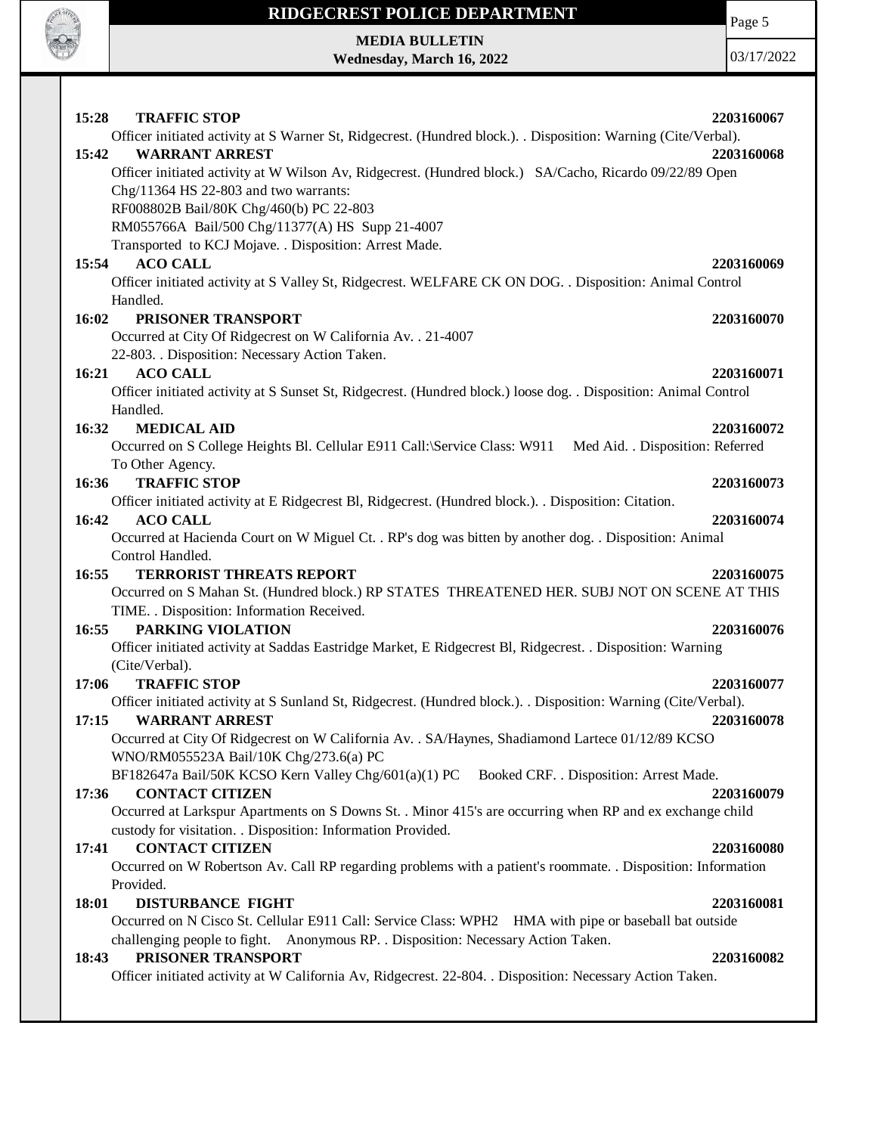

Page 5

**MEDIA BULLETIN Wednesday, March 16, 2022**

| 15:28<br><b>TRAFFIC STOP</b>                                                                                                                                             | 2203160067 |
|--------------------------------------------------------------------------------------------------------------------------------------------------------------------------|------------|
| Officer initiated activity at S Warner St, Ridgecrest. (Hundred block.). . Disposition: Warning (Cite/Verbal).                                                           |            |
| <b>WARRANT ARREST</b><br>15:42                                                                                                                                           | 2203160068 |
| Officer initiated activity at W Wilson Av, Ridgecrest. (Hundred block.) SA/Cacho, Ricardo 09/22/89 Open                                                                  |            |
| Chg/11364 HS 22-803 and two warrants:                                                                                                                                    |            |
| RF008802B Bail/80K Chg/460(b) PC 22-803                                                                                                                                  |            |
| RM055766A Bail/500 Chg/11377(A) HS Supp 21-4007                                                                                                                          |            |
| Transported to KCJ Mojave. . Disposition: Arrest Made.                                                                                                                   |            |
| 15:54<br><b>ACO CALL</b>                                                                                                                                                 | 2203160069 |
| Officer initiated activity at S Valley St, Ridgecrest. WELFARE CK ON DOG. . Disposition: Animal Control                                                                  |            |
| Handled.                                                                                                                                                                 |            |
| PRISONER TRANSPORT<br>16:02                                                                                                                                              | 2203160070 |
| Occurred at City Of Ridgecrest on W California Av. . 21-4007                                                                                                             |            |
| 22-803. . Disposition: Necessary Action Taken.                                                                                                                           |            |
| 16:21<br><b>ACO CALL</b>                                                                                                                                                 | 2203160071 |
| Officer initiated activity at S Sunset St, Ridgecrest. (Hundred block.) loose dog. . Disposition: Animal Control                                                         |            |
| Handled.                                                                                                                                                                 |            |
| 16:32<br><b>MEDICAL AID</b>                                                                                                                                              | 2203160072 |
| Occurred on S College Heights Bl. Cellular E911 Call: Service Class: W911<br>Med Aid. . Disposition: Referred<br>To Other Agency.                                        |            |
| <b>TRAFFIC STOP</b><br>16:36                                                                                                                                             | 2203160073 |
| Officer initiated activity at E Ridgecrest Bl, Ridgecrest. (Hundred block.). Disposition: Citation.                                                                      |            |
| 16:42<br><b>ACO CALL</b>                                                                                                                                                 | 2203160074 |
| Occurred at Hacienda Court on W Miguel Ct. . RP's dog was bitten by another dog. . Disposition: Animal                                                                   |            |
| Control Handled.                                                                                                                                                         |            |
| <b>TERRORIST THREATS REPORT</b><br>16:55                                                                                                                                 | 2203160075 |
| Occurred on S Mahan St. (Hundred block.) RP STATES THREATENED HER. SUBJ NOT ON SCENE AT THIS                                                                             |            |
| TIME. . Disposition: Information Received.                                                                                                                               |            |
| 16:55<br>PARKING VIOLATION                                                                                                                                               | 2203160076 |
| Officer initiated activity at Saddas Eastridge Market, E Ridgecrest Bl, Ridgecrest. . Disposition: Warning                                                               |            |
| (Cite/Verbal).                                                                                                                                                           |            |
| <b>TRAFFIC STOP</b><br>17:06                                                                                                                                             | 2203160077 |
| Officer initiated activity at S Sunland St, Ridgecrest. (Hundred block.). . Disposition: Warning (Cite/Verbal).                                                          |            |
| <b>WARRANT ARREST</b><br>17:15                                                                                                                                           | 2203160078 |
| Occurred at City Of Ridgecrest on W California Av. . SA/Haynes, Shadiamond Lartece 01/12/89 KCSO                                                                         |            |
| WNO/RM055523A Bail/10K Chg/273.6(a) PC                                                                                                                                   |            |
| BF182647a Bail/50K KCSO Kern Valley Chg/601(a)(1) PC<br>Booked CRF. . Disposition: Arrest Made.                                                                          |            |
| <b>CONTACT CITIZEN</b><br>17:36                                                                                                                                          | 2203160079 |
| Occurred at Larkspur Apartments on S Downs St. . Minor 415's are occurring when RP and ex exchange child<br>custody for visitation. . Disposition: Information Provided. |            |
| <b>CONTACT CITIZEN</b><br>17:41                                                                                                                                          | 2203160080 |
| Occurred on W Robertson Av. Call RP regarding problems with a patient's roommate. . Disposition: Information                                                             |            |
| Provided.                                                                                                                                                                |            |
| <b>DISTURBANCE FIGHT</b><br>18:01                                                                                                                                        | 2203160081 |
| Occurred on N Cisco St. Cellular E911 Call: Service Class: WPH2 HMA with pipe or baseball bat outside                                                                    |            |
| challenging people to fight. Anonymous RP. . Disposition: Necessary Action Taken.                                                                                        |            |
| PRISONER TRANSPORT<br>18:43                                                                                                                                              | 2203160082 |
| Officer initiated activity at W California Av, Ridgecrest. 22-804. . Disposition: Necessary Action Taken.                                                                |            |
|                                                                                                                                                                          |            |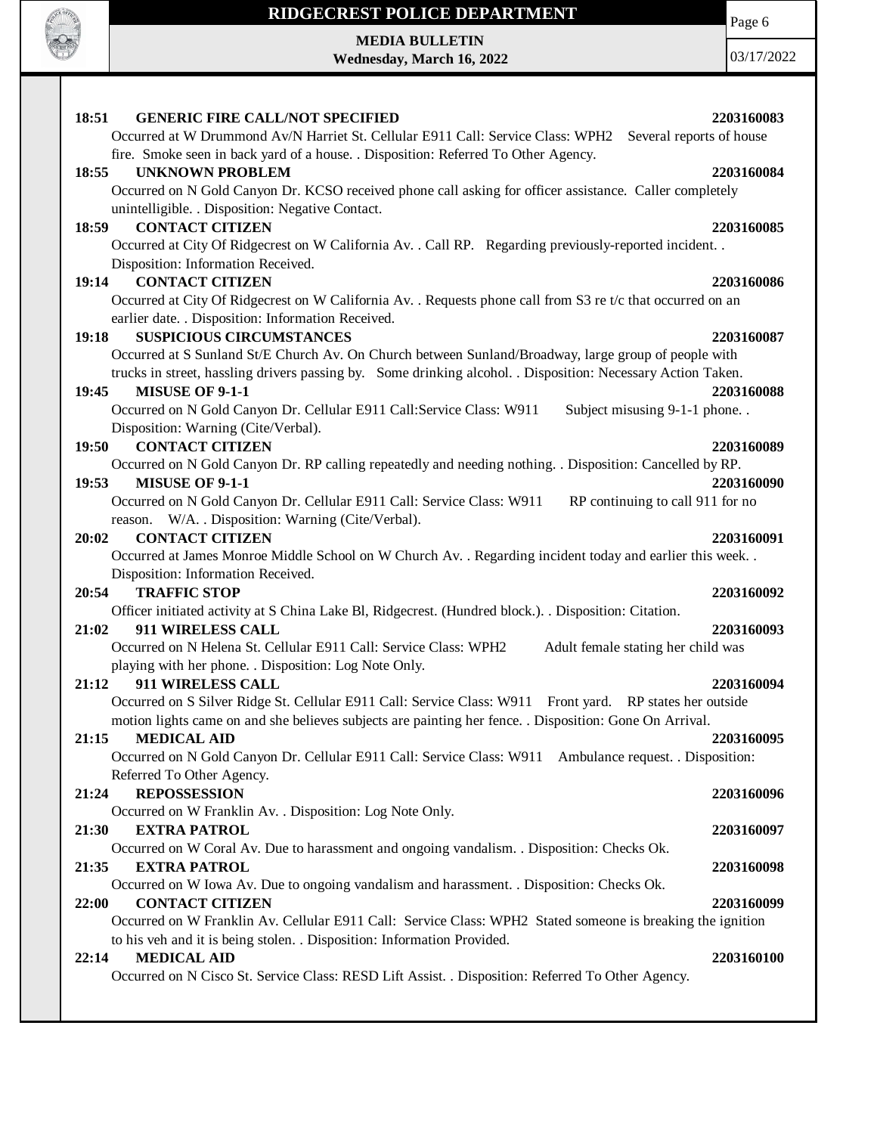

**MEDIA BULLETIN Wednesday, March 16, 2022** Page 6

| 18:51<br><b>GENERIC FIRE CALL/NOT SPECIFIED</b>                                                                                        | 2203160083 |
|----------------------------------------------------------------------------------------------------------------------------------------|------------|
| Occurred at W Drummond Av/N Harriet St. Cellular E911 Call: Service Class: WPH2<br>Several reports of house                            |            |
| fire. Smoke seen in back yard of a house. . Disposition: Referred To Other Agency.                                                     |            |
| <b>UNKNOWN PROBLEM</b><br>18:55                                                                                                        | 2203160084 |
| Occurred on N Gold Canyon Dr. KCSO received phone call asking for officer assistance. Caller completely                                |            |
| unintelligible. . Disposition: Negative Contact.                                                                                       |            |
| <b>CONTACT CITIZEN</b><br>18:59                                                                                                        | 2203160085 |
| Occurred at City Of Ridgecrest on W California Av. . Call RP. Regarding previously-reported incident. .                                |            |
| Disposition: Information Received.                                                                                                     |            |
| <b>CONTACT CITIZEN</b><br>19:14                                                                                                        | 2203160086 |
| Occurred at City Of Ridgecrest on W California Av. . Requests phone call from S3 re t/c that occurred on an                            |            |
| earlier date. . Disposition: Information Received.                                                                                     |            |
| <b>SUSPICIOUS CIRCUMSTANCES</b><br>19:18                                                                                               | 2203160087 |
| Occurred at S Sunland St/E Church Av. On Church between Sunland/Broadway, large group of people with                                   |            |
| trucks in street, hassling drivers passing by. Some drinking alcohol. . Disposition: Necessary Action Taken.<br><b>MISUSE OF 9-1-1</b> |            |
| 19:45<br>Occurred on N Gold Canyon Dr. Cellular E911 Call: Service Class: W911<br>Subject misusing 9-1-1 phone                         | 2203160088 |
| Disposition: Warning (Cite/Verbal).                                                                                                    |            |
| <b>CONTACT CITIZEN</b><br>19:50                                                                                                        | 2203160089 |
| Occurred on N Gold Canyon Dr. RP calling repeatedly and needing nothing. . Disposition: Cancelled by RP.                               |            |
| <b>MISUSE OF 9-1-1</b><br>19:53                                                                                                        | 2203160090 |
| Occurred on N Gold Canyon Dr. Cellular E911 Call: Service Class: W911<br>RP continuing to call 911 for no                              |            |
| reason. W/A. . Disposition: Warning (Cite/Verbal).                                                                                     |            |
| <b>CONTACT CITIZEN</b><br>20:02                                                                                                        | 2203160091 |
| Occurred at James Monroe Middle School on W Church Av. . Regarding incident today and earlier this week. .                             |            |
| Disposition: Information Received.                                                                                                     |            |
| <b>TRAFFIC STOP</b><br>20:54                                                                                                           | 2203160092 |
| Officer initiated activity at S China Lake Bl, Ridgecrest. (Hundred block.). Disposition: Citation.                                    |            |
| 21:02<br>911 WIRELESS CALL                                                                                                             | 2203160093 |
| Occurred on N Helena St. Cellular E911 Call: Service Class: WPH2<br>Adult female stating her child was                                 |            |
| playing with her phone. . Disposition: Log Note Only.                                                                                  |            |
| 21:12<br>911 WIRELESS CALL                                                                                                             | 2203160094 |
| Occurred on S Silver Ridge St. Cellular E911 Call: Service Class: W911 Front yard. RP states her outside                               |            |
| motion lights came on and she believes subjects are painting her fence. . Disposition: Gone On Arrival.                                |            |
| 21:15<br><b>MEDICAL AID</b>                                                                                                            | 2203160095 |
| Occurred on N Gold Canyon Dr. Cellular E911 Call: Service Class: W911 Ambulance request. . Disposition:                                |            |
| Referred To Other Agency.                                                                                                              |            |
| <b>REPOSSESSION</b><br>21:24                                                                                                           | 2203160096 |
| Occurred on W Franklin Av. . Disposition: Log Note Only.                                                                               |            |
| 21:30<br><b>EXTRA PATROL</b>                                                                                                           | 2203160097 |
| Occurred on W Coral Av. Due to harassment and ongoing vandalism. . Disposition: Checks Ok.                                             |            |
| <b>EXTRA PATROL</b><br>21:35                                                                                                           | 2203160098 |
| Occurred on W Iowa Av. Due to ongoing vandalism and harassment. . Disposition: Checks Ok.<br><b>CONTACT CITIZEN</b>                    |            |
| 22:00<br>Occurred on W Franklin Av. Cellular E911 Call: Service Class: WPH2 Stated someone is breaking the ignition                    | 2203160099 |
| to his veh and it is being stolen. . Disposition: Information Provided.                                                                |            |
| <b>MEDICAL AID</b><br>22:14                                                                                                            | 2203160100 |
| Occurred on N Cisco St. Service Class: RESD Lift Assist. . Disposition: Referred To Other Agency.                                      |            |
|                                                                                                                                        |            |